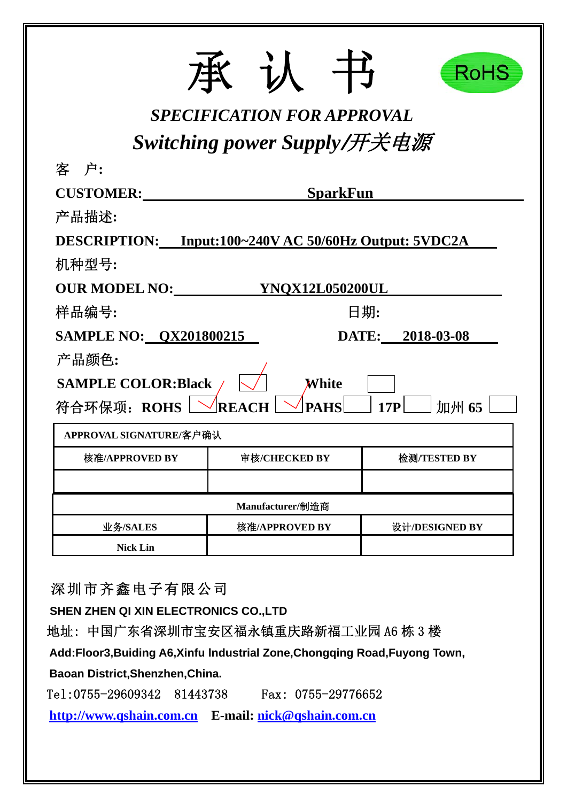|                                                       |                                   | RoHS             |
|-------------------------------------------------------|-----------------------------------|------------------|
|                                                       | <b>SPECIFICATION FOR APPROVAL</b> |                  |
|                                                       | Switching power Supply/开关电源       |                  |
| 客 户:                                                  |                                   |                  |
| <b>CUSTOMER:</b>                                      | <b>SparkFun</b>                   |                  |
| 产品描述:                                                 |                                   |                  |
| DESCRIPTION: Input:100~240V AC 50/60Hz Output: 5VDC2A |                                   |                  |
| 机种型号:                                                 |                                   |                  |
| <b>OUR MODEL NO:</b>                                  | <b>YNQX12L050200UL</b>            |                  |
| 样品编号:                                                 |                                   | 日期:              |
| <b>SAMPLE NO: QX201800215</b>                         |                                   | DATE: 2018-03-08 |
| 产品颜色:                                                 |                                   |                  |
| <b>SAMPLE COLOR:Black</b>                             | White                             |                  |
| 符合环保项: ROHS                                           | <b>PAHS</b><br>REA                | 加州 65<br>17P     |
| APPROVAL SIGNATURE/客户确认                               |                                   |                  |
| 核准/APPROVED BY                                        | 审核/CHECKED BY                     | 检测/TESTED BY     |
|                                                       |                                   |                  |
|                                                       | Manufacturer/制造商                  |                  |
| 业务/SALES                                              | 核准/APPROVED BY                    | 设计/DESIGNED BY   |
| <b>Nick Lin</b>                                       |                                   |                  |

深圳市齐鑫电子有限公司

**SHEN ZHEN QI XIN ELECTRONICS CO.,LTD** 

地址: 中国广东省深圳市宝安区福永镇重庆路新福工业园 A6 栋 3 楼

**Add:Floor3,Buiding A6,Xinfu lndustrial Zone,Chongqing Road,Fuyong Town,** 

**Baoan District,Shenzhen,China.** 

Tel:0755-29609342 81443738 Fax: 0755-29776652

**http://www.qshain.com.cn E-mail: nick@qshain.com.cn**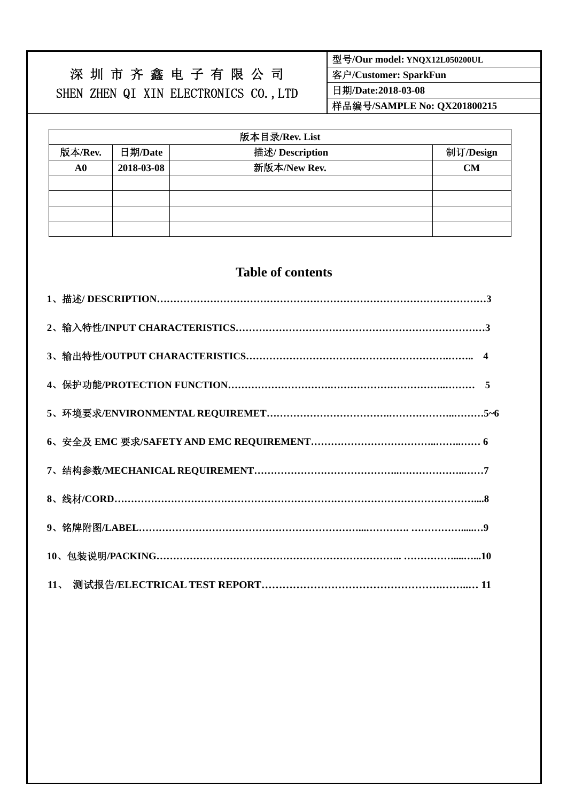# 深 圳 市 齐 鑫 电 子 有 限 公 司 SHEN ZHEN QI XIN ELECTRONICS CO.,LTD

型号**/Our model: YNQX12L050200UL** 

客户**/Customer: SparkFun** 

日期**/Date:2018-03-08** 

样品编号**/SAMPLE No: QX201800215** 

| 版本目录/Rev. List |            |                 |           |  |  |  |  |  |
|----------------|------------|-----------------|-----------|--|--|--|--|--|
| 版本/Rev.        | 日期/Date    | 描述/ Description | 制订/Design |  |  |  |  |  |
| A0             | 2018-03-08 | 新版本/New Rev.    | <b>CM</b> |  |  |  |  |  |
|                |            |                 |           |  |  |  |  |  |
|                |            |                 |           |  |  |  |  |  |
|                |            |                 |           |  |  |  |  |  |
|                |            |                 |           |  |  |  |  |  |

# **Table of contents**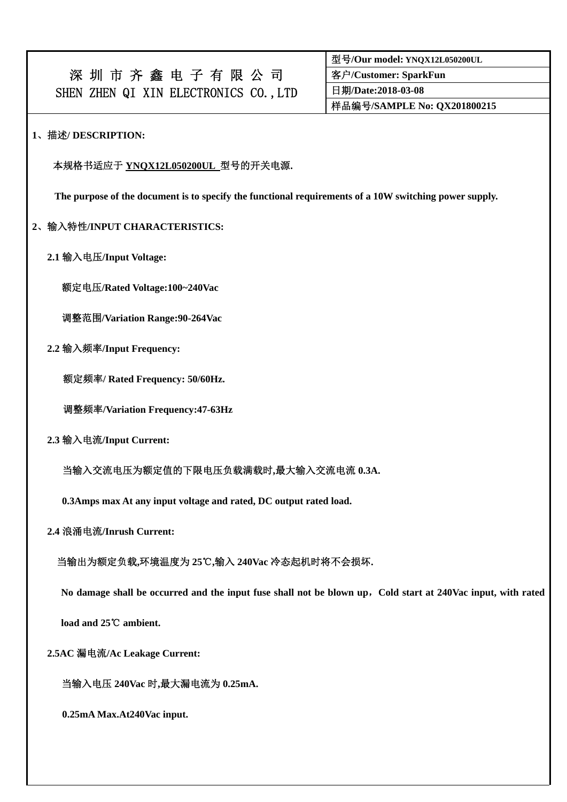| 深圳市齐鑫电子有限公司                           |  |  |  |  |
|---------------------------------------|--|--|--|--|
| SHEN ZHEN QI XIN ELECTRONICS CO., LTD |  |  |  |  |

型号**/Our model: YNQX12L050200UL**  客户**/Customer: SparkFun**  日期**/Date:2018-03-08**  样品编号**/SAMPLE No: QX201800215** 

## **1**、描述**/ DESCRIPTION:**

#### 本规格书适应于 **YNQX12L050200UL** 型号的开关电源**.**

**The purpose of the document is to specify the functional requirements of a 10W switching power supply.** 

### **2**、输入特性**/INPUT CHARACTERISTICS:**

 **2.1** 输入电压**/Input Voltage:** 

额定电压**/Rated Voltage:100~240Vac** 

调整范围**/Variation Range:90-264Vac** 

 **2.2** 输入频率**/Input Frequency:** 

额定频率**/ Rated Frequency: 50/60Hz.** 

调整频率**/Variation Frequency:47-63Hz** 

 **2.3** 输入电流**/Input Current:** 

当输入交流电压为额定值的下限电压负载满载时**,**最大输入交流电流 **0.3A.** 

**0.3Amps max At any input voltage and rated, DC output rated load.** 

 **2.4** 浪涌电流**/Inrush Current:** 

当输出为额定负载**,**环境温度为 **25**℃**,**输入 **240Vac** 冷态起机时将不会损坏**.** 

**No damage shall be occurred and the input fuse shall not be blown up**,**Cold start at 240Vac input, with rated** 

**load and 25℃ ambient.** 

 **2.5AC** 漏电流**/Ac Leakage Current:** 

当输入电压 **240Vac** 时**,**最大漏电流为 **0.25mA.** 

**0.25mA Max.At240Vac input.**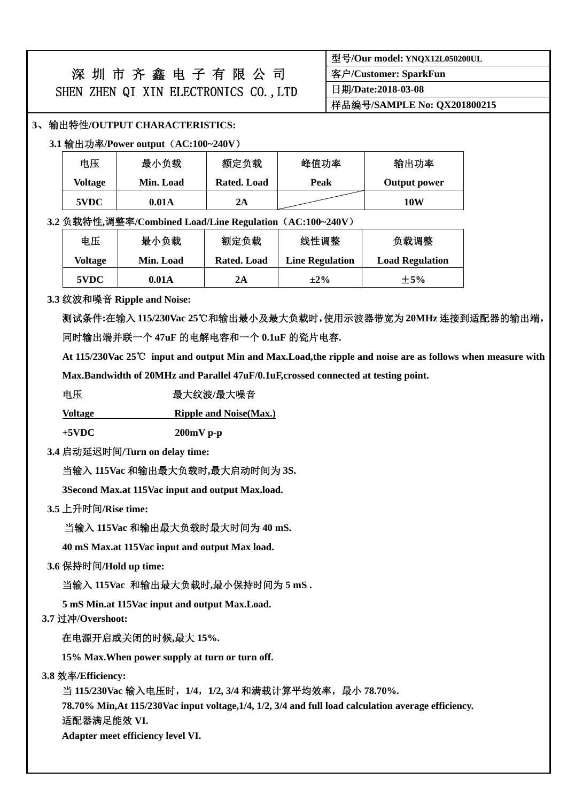|                                      | 深 圳 市 齐 鑫 电 子 有 限 公 司 |  |  |  |  |  |
|--------------------------------------|-----------------------|--|--|--|--|--|
| SHEN ZHEN QI XIN ELECTRONICS CO.,LTD |                       |  |  |  |  |  |

| 型号/Our model: YNQX12L050200UL |  |
|-------------------------------|--|
| 客户/Customer: SparkFun         |  |
| 日期/Date:2018-03-08            |  |
| 样品编号/SAMPLE No: QX201800215   |  |

### **3**、输出特性**/OUTPUT CHARACTERISTICS:**

**3.1** 输出功率**/Power output**(**AC:100~240V**)

| 电压      | 最小负载      | 额定负载        | 峰值功率 | 输出功率         |
|---------|-----------|-------------|------|--------------|
| Voltage | Min. Load | Rated. Load | Peak | Output power |
| 5VDC    | 0.01A     | 2A          |      | 10W          |

#### **3.2** 负载特性**,**调整率**/Combined Load/Line Regulation**(**AC:100~240V**)

| 电压                   | 最小负载  | 额定负载        | 线性调整                   | 负载调整                   |
|----------------------|-------|-------------|------------------------|------------------------|
| Min. Load<br>Voltage |       | Rated. Load | <b>Line Regulation</b> | <b>Load Regulation</b> |
| 5VDC                 | 0.01A | 2Α          | $\pm 2\%$              | $\pm$ 5%               |

#### **3.3** 纹波和噪音 **Ripple and Noise:**

测试条件**:**在输入 **115/230Vac 25**℃和输出最小及最大负载时,使用示波器带宽为 **20MHz** 连接到适配器的输出端, 同时输出端并联一个 **47uF** 的电解电容和一个 **0.1uF** 的瓷片电容**.** 

 **At 115/230Vac 25**℃ **input and output Min and Max.Load,the ripple and noise are as follows when measure with** 

**Max.Bandwidth of 20MHz and Parallel 47uF/0.1uF,crossed connected at testing point.** 

#### 电压<br>**电压**<br>【一 最大纹波/最大噪音

**Voltage Ripple and Noise(Max.)**

**+5VDC 200mV p-p** 

**3.4** 启动延迟时间**/Turn on delay time:** 

当输入 **115Vac** 和输出最大负载时**,**最大启动时间为 **3S.** 

 **3Second Max.at 115Vac input and output Max.load.** 

**3.5** 上升时间**/Rise time:** 

当输入 **115Vac** 和输出最大负载时最大时间为 **40 mS.** 

 **40 mS Max.at 115Vac input and output Max load.** 

**3.6** 保持时间**/Hold up time:** 

当输入 **115Vac** 和输出最大负载时**,**最小保持时间为 **5 mS .** 

 **5 mS Min.at 115Vac input and output Max.Load.** 

**3.7** 过冲**/Overshoot:** 

## 在电源开启或关闭的时候**,**最大 **15%.**

**15% Max.When power supply at turn or turn off.** 

**3.8** 效率**/Efficiency:** 

当 **115/230Vac** 输入电压时,**1/4**,**1/2, 3/4** 和满载计算平均效率,最小 **78.70%.** 

 **78.70% Min,At 115/230Vac input voltage,1/4, 1/2, 3/4 and full load calculation average efficiency.** 适配器满足能效 **VI.** 

 **Adapter meet efficiency level VI.**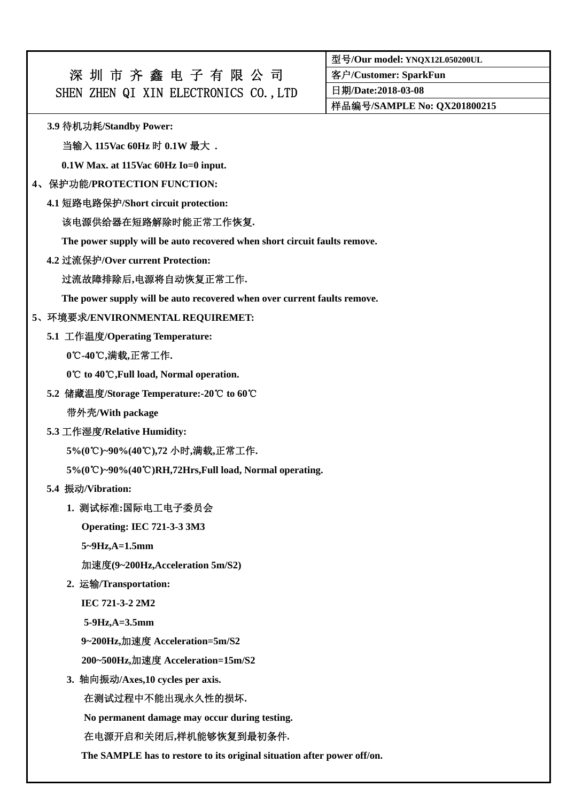# 深 圳 市 齐 鑫 电 子 有 限 公 司 SHEN ZHEN QI XIN ELECTRONICS CO., LTD

型号**/Our model: YNQX12L050200UL** 

客户**/Customer: SparkFun** 

日期**/Date:2018-03-08** 

样品编号**/SAMPLE No: QX201800215** 

**3.9** 待机功耗**/Standby Power:** 

当输入 **115Vac 60Hz** 时 **0.1W** 最大 **.** 

**0.1W Max. at 115Vac 60Hz Io=0 input.** 

## **4**、保护功能**/PROTECTION FUNCTION:**

**4.1** 短路电路保护**/Short circuit protection:** 

# 该电源供给器在短路解除时能正常工作恢复**.**

**The power supply will be auto recovered when short circuit faults remove.** 

**4.2** 过流保护**/Over current Protection:** 

# 过流故障排除后**,**电源将自动恢复正常工作**.**

**The power supply will be auto recovered when over current faults remove.** 

# **5**、环境要求**/ENVIRONMENTAL REQUIREMET:**

**5.1** 工作温度**/Operating Temperature:** 

**0**℃**-40 ,** ℃ 满载**,**正常工作**.** 

0°C to 40°C, Full load, Normal operation.

**5.2** 储藏温度**/Storage Temperature:-20 to** ℃ **60**℃

带外壳**/With package** 

**5.3** 工作湿度**/Relative Humidity:** 

**5%(0 )~90%(40 )** ℃ ℃ **,72** 小时**,**满载**,**正常工作**.** 

5%(0°C)~90%(40°C)RH,72Hrs,Full load, Normal operating.

**5.4** 振动**/Vibration:** 

# **1.** 测试标准**:**国际电工电子委员会

**Operating: IEC 721-3-3 3M3** 

**5~9Hz,A=1.5mm** 

加速度**(9~200Hz,Acceleration 5m/S2)** 

**2.** 运输**/Transportation:** 

**IEC 721-3-2 2M2** 

**5-9Hz,A=3.5mm** 

**9~200Hz,**加速度 **Acceleration=5m/S2** 

**200~500Hz,**加速度 **Acceleration=15m/S2** 

**3.** 轴向振动**/Axes,10 cycles per axis.** 

在测试过程中不能出现永久性的损坏**.** 

**No permanent damage may occur during testing.** 

# 在电源开启和关闭后**,**样机能够恢复到最初条件**.**

**The SAMPLE has to restore to its original situation after power off/on.**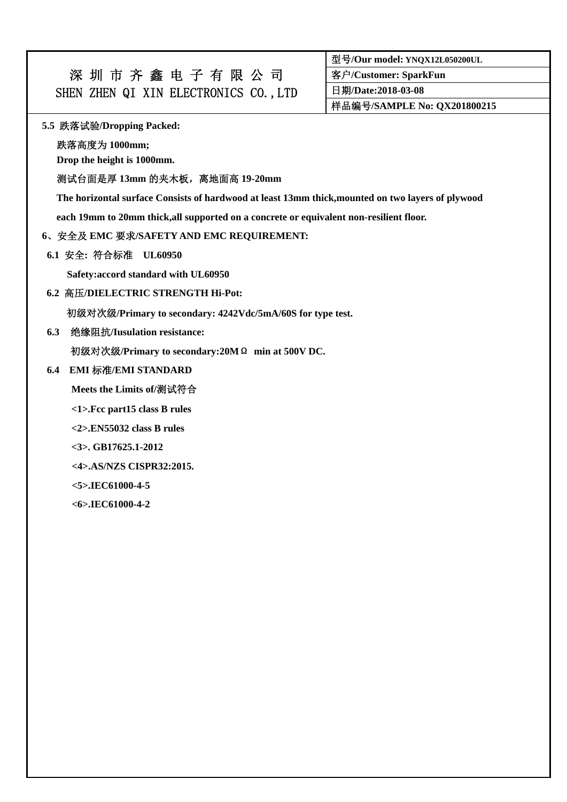| 深圳市齐鑫电子有限公司                           |  |  |  |  |
|---------------------------------------|--|--|--|--|
| SHEN ZHEN QI XIN ELECTRONICS CO., LTD |  |  |  |  |

型号**/Our model: YNQX12L050200UL** 

客户**/Customer: SparkFun** 

日期**/Date:2018-03-08** 

样品编号**/SAMPLE No: QX201800215** 

#### **5.5** 跌落试验**/Dropping Packed:**

跌落高度为 **1000mm;** 

**Drop the height is 1000mm.** 

## 测试台面是厚 **13mm** 的夹木板,离地面高 **19-20mm**

**The horizontal surface Consists of hardwood at least 13mm thick,mounted on two layers of plywood** 

**each 19mm to 20mm thick,all supported on a concrete or equivalent non-resilient floor.** 

#### **6**、安全及 **EMC** 要求**/SAFETY AND EMC REQUIREMENT:**

**6.1** 安全**:** 符合标准 **UL60950** 

 **Safety:accord standard with UL60950** 

**6.2** 高压**/DIELECTRIC STRENGTH Hi-Pot:** 

初级对次级**/Primary to secondary: 4242Vdc/5mA/60S for type test.** 

**6.3** 绝缘阻抗**/Iusulation resistance:** 

初级对次级**/Primary to secondary:20M**Ω **min at 500V DC.** 

# **6.4 EMI** 标准**/EMI STANDARD**

**Meets the Limits of/**测试符合

**<1>.Fcc part15 class B rules** 

**<2>.EN55032 class B rules** 

**<3>. GB17625.1-2012** 

 **<4>.AS/NZS CISPR32:2015.** 

**<5>.IEC61000-4-5** 

**<6>.IEC61000-4-2**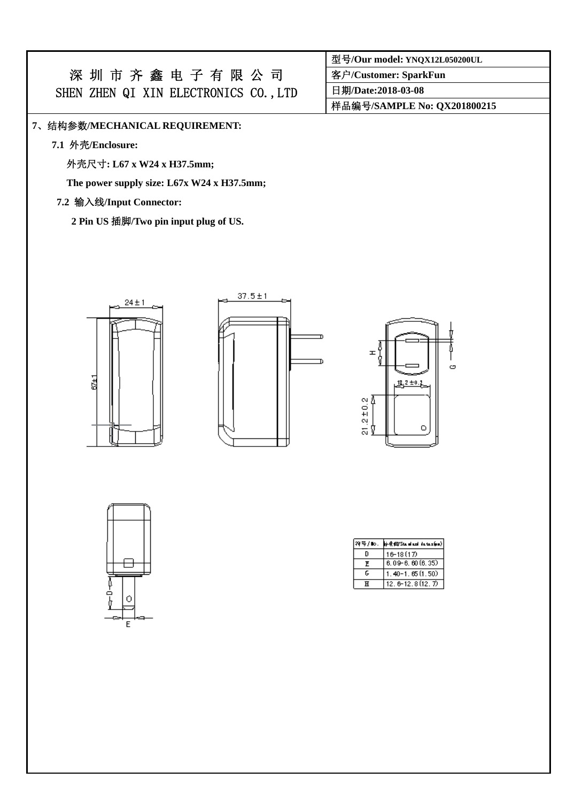# 深 圳 市 齐 鑫 电 子 有 限 公 司 SHEN ZHEN QI XIN ELECTRONICS CO., LTD

## **7**、结构参数**/MECHANICAL REQUIREMENT:**

**7.1** 外壳**/Enclosure:** 

外壳尺寸**: L67 x W24 x H37.5mm;** 

**The power supply size: L67x W24 x H37.5mm;** 

### **7.2** 输入线**/Input Connector:**

**2 Pin US** 插脚**/Two pin input plug of US.** 





| H,<br>Ġ        |         | ඏ |
|----------------|---------|---|
| $\bar{b}$      | g 2±0.2 |   |
| $21.2 \pm 0.2$ | ٥       |   |
|                |         |   |



| 符号/10. | hid{#0/Stanland_iataxhin} |
|--------|---------------------------|
| n      | 16-18 (17)                |
| F      | $6.09 - 6.60(6.35)$       |
| ٢      | $1.40 - 1.65(1.50)$       |
| ਸ      | $12.6 - 12.8(12.7)$       |

型号**/Our model: YNQX12L050200UL** 

客户**/Customer: SparkFun** 

日期**/Date:2018-03-08** 

样品编号**/SAMPLE No: QX201800215**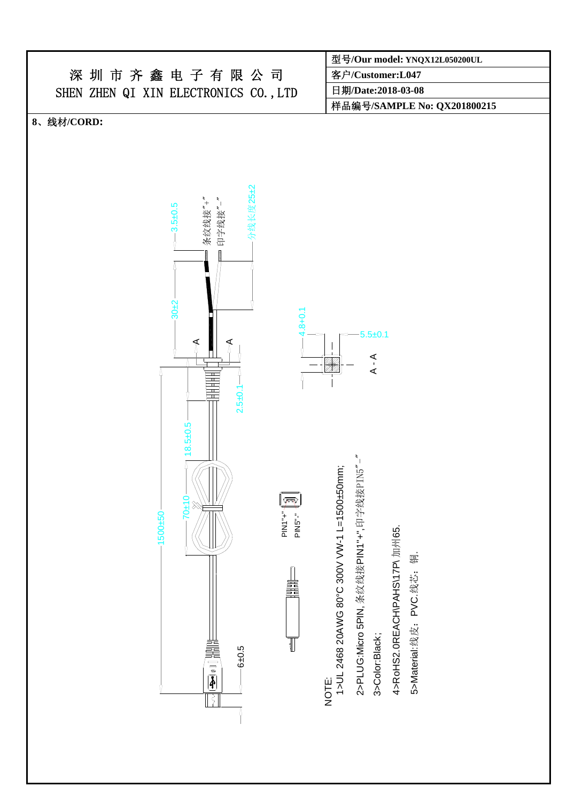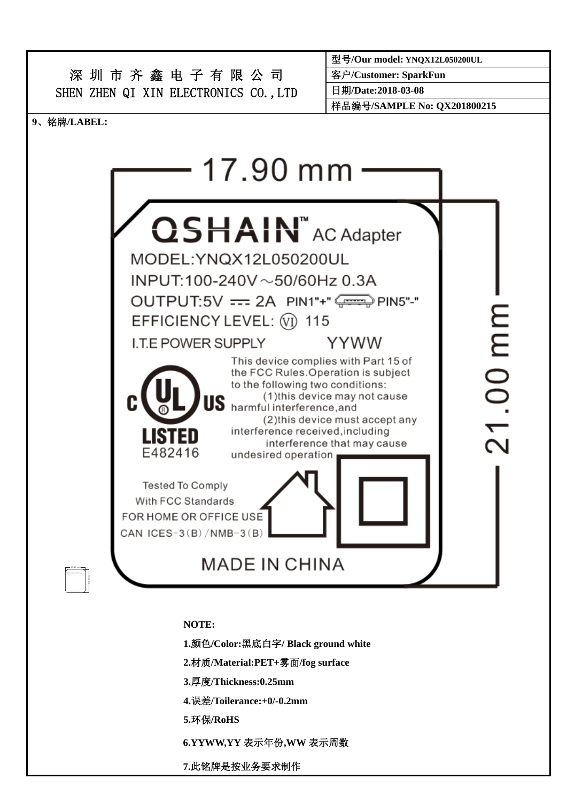

**3.**厚度**/Thickness:0.25mm** 

**4.**误差**/Toilerance:+0/-0.2mm** 

**5.**环保**/RoHS** 

**6.YYWW,YY** 表示年份**,WW** 表示周数

**7.**此铭牌是按业务要求制作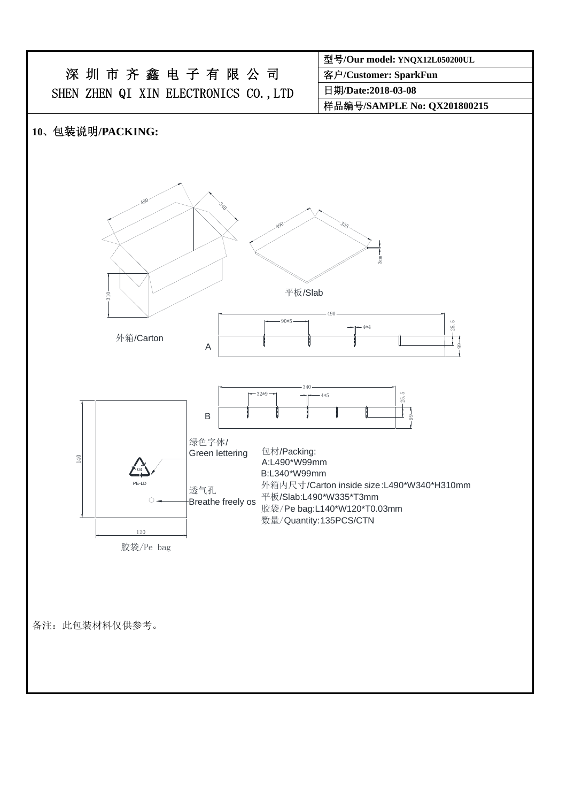